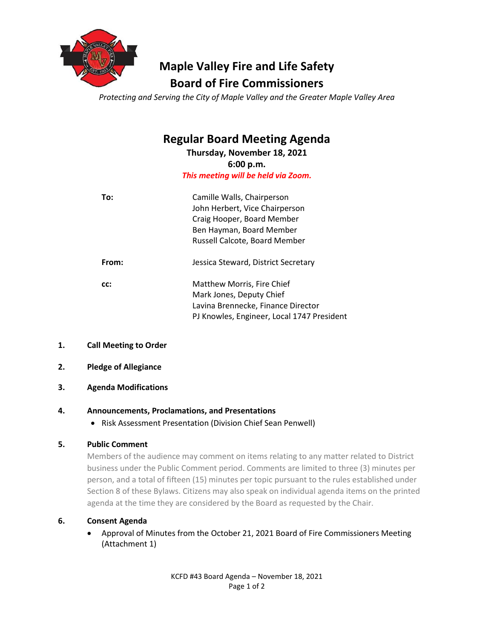

# **Maple Valley Fire and Life Safety Board of Fire Commissioners**

*Protecting and Serving the City of Maple Valley and the Greater Maple Valley Area*

# **Regular Board Meeting Agenda**

**Thursday, November 18, 2021 6:00 p.m.** *This meeting will be held via Zoom.*

| To:   | Camille Walls, Chairperson<br>John Herbert, Vice Chairperson<br>Craig Hooper, Board Member<br>Ben Hayman, Board Member<br>Russell Calcote, Board Member |
|-------|---------------------------------------------------------------------------------------------------------------------------------------------------------|
| From: | Jessica Steward, District Secretary                                                                                                                     |
| CC:   | Matthew Morris, Fire Chief<br>Mark Jones, Deputy Chief<br>Lavina Brennecke, Finance Director<br>PJ Knowles, Engineer, Local 1747 President              |

- **1. Call Meeting to Order**
- **2. Pledge of Allegiance**
- **3. Agenda Modifications**

# **4. Announcements, Proclamations, and Presentations**

• Risk Assessment Presentation (Division Chief Sean Penwell)

# **5. Public Comment**

Members of the audience may comment on items relating to any matter related to District business under the Public Comment period. Comments are limited to three (3) minutes per person, and a total of fifteen (15) minutes per topic pursuant to the rules established under Section 8 of these Bylaws. Citizens may also speak on individual agenda items on the printed agenda at the time they are considered by the Board as requested by the Chair.

# **6. Consent Agenda**

• Approval of Minutes from the October 21, 2021 Board of Fire Commissioners Meeting (Attachment 1)